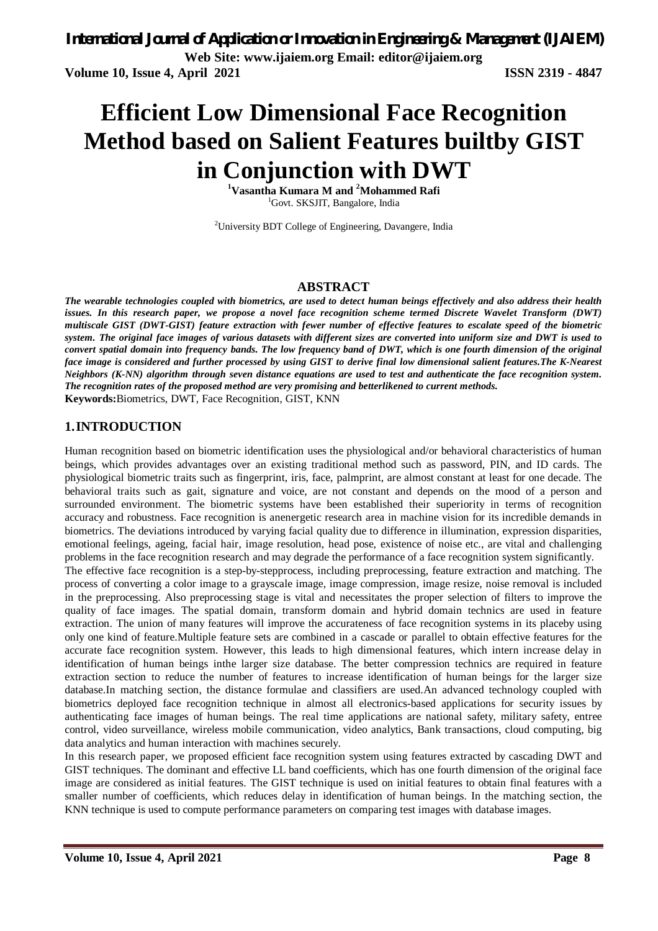# **Efficient Low Dimensional Face Recognition Method based on Salient Features builtby GIST in Conjunction with DWT <sup>1</sup>Vasantha Kumara M and <sup>2</sup>Mohammed Rafi**

<sup>1</sup>Govt. SKSJIT, Bangalore, India

<sup>2</sup>University BDT College of Engineering, Davangere, India

#### **ABSTRACT**

*The wearable technologies coupled with biometrics, are used to detect human beings effectively and also address their health issues. In this research paper, we propose a novel face recognition scheme termed Discrete Wavelet Transform (DWT) multiscale GIST (DWT-GIST) feature extraction with fewer number of effective features to escalate speed of the biometric system. The original face images of various datasets with different sizes are converted into uniform size and DWT is used to convert spatial domain into frequency bands. The low frequency band of DWT, which is one fourth dimension of the original face image is considered and further processed by using GIST to derive final low dimensional salient features.The K-Nearest Neighbors (K-NN) algorithm through seven distance equations are used to test and authenticate the face recognition system. The recognition rates of the proposed method are very promising and betterlikened to current methods.* **Keywords:**Biometrics, DWT, Face Recognition, GIST, KNN

#### **1.INTRODUCTION**

Human recognition based on biometric identification uses the physiological and/or behavioral characteristics of human beings, which provides advantages over an existing traditional method such as password, PIN, and ID cards. The physiological biometric traits such as fingerprint, iris, face, palmprint, are almost constant at least for one decade. The behavioral traits such as gait, signature and voice, are not constant and depends on the mood of a person and surrounded environment. The biometric systems have been established their superiority in terms of recognition accuracy and robustness. Face recognition is anenergetic research area in machine vision for its incredible demands in biometrics. The deviations introduced by varying facial quality due to difference in illumination, expression disparities, emotional feelings, ageing, facial hair, image resolution, head pose, existence of noise etc., are vital and challenging problems in the face recognition research and may degrade the performance of a face recognition system significantly.

The effective face recognition is a step-by-stepprocess, including preprocessing, feature extraction and matching. The process of converting a color image to a grayscale image, image compression, image resize, noise removal is included in the preprocessing. Also preprocessing stage is vital and necessitates the proper selection of filters to improve the quality of face images. The spatial domain, transform domain and hybrid domain technics are used in feature extraction. The union of many features will improve the accurateness of face recognition systems in its placeby using only one kind of feature.Multiple feature sets are combined in a cascade or parallel to obtain effective features for the accurate face recognition system. However, this leads to high dimensional features, which intern increase delay in identification of human beings inthe larger size database. The better compression technics are required in feature extraction section to reduce the number of features to increase identification of human beings for the larger size database.In matching section, the distance formulae and classifiers are used.An advanced technology coupled with biometrics deployed face recognition technique in almost all electronics-based applications for security issues by authenticating face images of human beings. The real time applications are national safety, military safety, entree control, video surveillance, wireless mobile communication, video analytics, Bank transactions, cloud computing, big data analytics and human interaction with machines securely.

In this research paper, we proposed efficient face recognition system using features extracted by cascading DWT and GIST techniques. The dominant and effective LL band coefficients, which has one fourth dimension of the original face image are considered as initial features. The GIST technique is used on initial features to obtain final features with a smaller number of coefficients, which reduces delay in identification of human beings. In the matching section, the KNN technique is used to compute performance parameters on comparing test images with database images.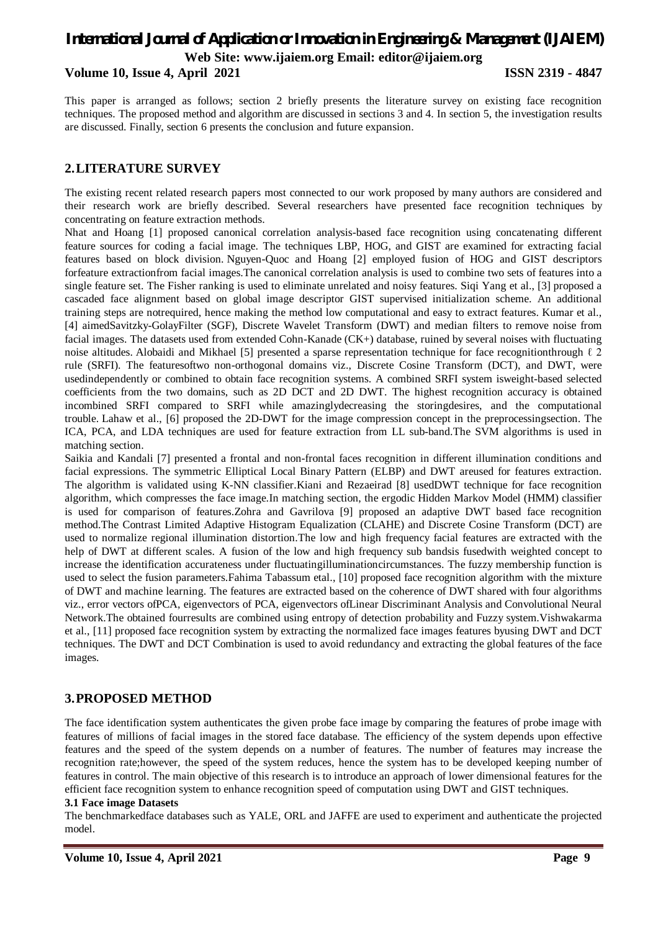**Volume 10, Issue 4, April 2021 ISSN 2319 - 4847**

This paper is arranged as follows; section 2 briefly presents the literature survey on existing face recognition techniques. The proposed method and algorithm are discussed in sections 3 and 4. In section 5, the investigation results are discussed. Finally, section 6 presents the conclusion and future expansion.

#### **2.LITERATURE SURVEY**

The existing recent related research papers most connected to our work proposed by many authors are considered and their research work are briefly described. Several researchers have presented face recognition techniques by concentrating on feature extraction methods.

Nhat and Hoang [1] proposed canonical correlation analysis-based face recognition using concatenating different feature sources for coding a facial image. The techniques LBP, HOG, and GIST are examined for extracting facial features based on block division. Nguyen-Quoc and Hoang [2] employed fusion of HOG and GIST descriptors forfeature extractionfrom facial images.The canonical correlation analysis is used to combine two sets of features into a single feature set. The Fisher ranking is used to eliminate unrelated and noisy features. Siqi Yang et al., [3] proposed a cascaded face alignment based on global image descriptor GIST supervised initialization scheme. An additional training steps are notrequired, hence making the method low computational and easy to extract features. Kumar et al., [4] aimedSavitzky-GolayFilter (SGF), Discrete Wavelet Transform (DWT) and median filters to remove noise from facial images. The datasets used from extended Cohn-Kanade (CK+) database, ruined by several noises with fluctuating noise altitudes. Alobaidi and Mikhael [5] presented a sparse representation technique for face recognitionthrough  $\ell$  2 rule (SRFI). The featuresoftwo non-orthogonal domains viz., Discrete Cosine Transform (DCT), and DWT, were usedindependently or combined to obtain face recognition systems. A combined SRFI system isweight-based selected coefficients from the two domains, such as 2D DCT and 2D DWT. The highest recognition accuracy is obtained incombined SRFI compared to SRFI while amazinglydecreasing the storingdesires, and the computational trouble. Lahaw et al., [6] proposed the 2D-DWT for the image compression concept in the preprocessingsection. The ICA, PCA, and LDA techniques are used for feature extraction from LL sub-band.The SVM algorithms is used in matching section.

Saikia and Kandali [7] presented a frontal and non-frontal faces recognition in different illumination conditions and facial expressions. The symmetric Elliptical Local Binary Pattern (ELBP) and DWT areused for features extraction. The algorithm is validated using K-NN classifier.Kiani and Rezaeirad [8] usedDWT technique for face recognition algorithm, which compresses the face image.In matching section, the ergodic Hidden Markov Model (HMM) classifier is used for comparison of features.Zohra and Gavrilova [9] proposed an adaptive DWT based face recognition method.The Contrast Limited Adaptive Histogram Equalization (CLAHE) and Discrete Cosine Transform (DCT) are used to normalize regional illumination distortion.The low and high frequency facial features are extracted with the help of DWT at different scales. A fusion of the low and high frequency sub bandsis fusedwith weighted concept to increase the identification accurateness under fluctuatingilluminationcircumstances. The fuzzy membership function is used to select the fusion parameters.Fahima Tabassum etal., [10] proposed face recognition algorithm with the mixture of DWT and machine learning. The features are extracted based on the coherence of DWT shared with four algorithms viz., error vectors ofPCA, eigenvectors of PCA, eigenvectors ofLinear Discriminant Analysis and Convolutional Neural Network.The obtained fourresults are combined using entropy of detection probability and Fuzzy system.Vishwakarma et al., [11] proposed face recognition system by extracting the normalized face images features byusing DWT and DCT techniques. The DWT and DCT Combination is used to avoid redundancy and extracting the global features of the face images.

#### **3.PROPOSED METHOD**

The face identification system authenticates the given probe face image by comparing the features of probe image with features of millions of facial images in the stored face database. The efficiency of the system depends upon effective features and the speed of the system depends on a number of features. The number of features may increase the recognition rate;however, the speed of the system reduces, hence the system has to be developed keeping number of features in control. The main objective of this research is to introduce an approach of lower dimensional features for the efficient face recognition system to enhance recognition speed of computation using DWT and GIST techniques.

#### **3.1 Face image Datasets**

The benchmarkedface databases such as YALE, ORL and JAFFE are used to experiment and authenticate the projected model.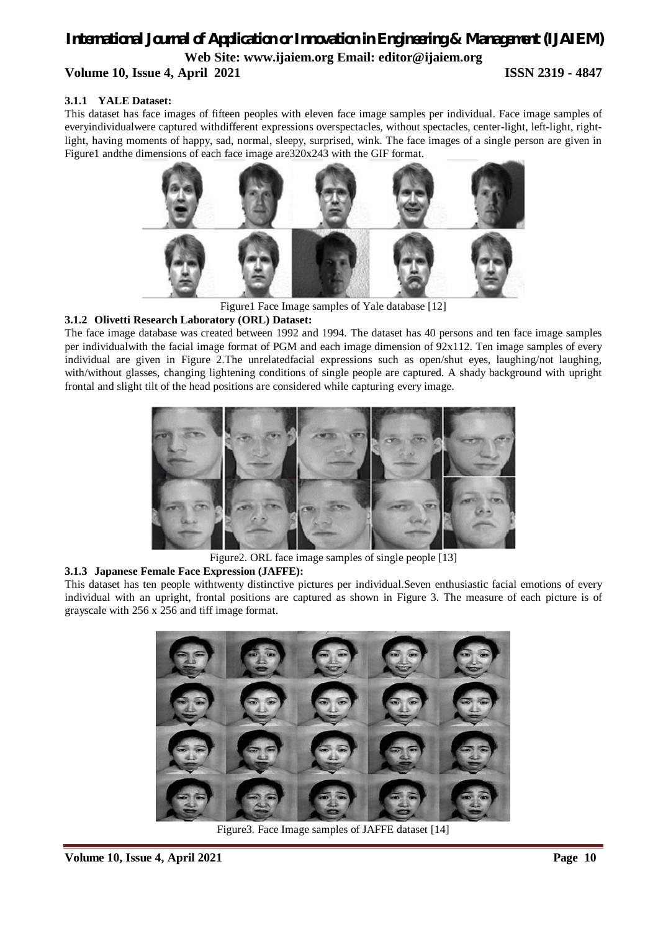### *International Journal of Application or Innovation in Engineering & Management (IJAIEM)* **Web Site: www.ijaiem.org Email: editor@ijaiem.org Volume 10, Issue 4, April 2021 ISSN 2319 - 4847**

#### **3.1.1 YALE Dataset:**

This dataset has face images of fifteen peoples with eleven face image samples per individual. Face image samples of everyindividualwere captured withdifferent expressions overspectacles, without spectacles, center-light, left-light, rightlight, having moments of happy, sad, normal, sleepy, surprised, wink. The face images of a single person are given in Figure1 andthe dimensions of each face image are320x243 with the GIF format.



Figure1 Face Image samples of Yale database [12]

#### **3.1.2 Olivetti Research Laboratory (ORL) Dataset:**

The face image database was created between 1992 and 1994. The dataset has 40 persons and ten face image samples per individualwith the facial image format of PGM and each image dimension of  $92x112$ . Ten image samples of every individual are given in Figure 2.The unrelatedfacial expressions such as open/shut eyes, laughing/not laughing, with/without glasses, changing lightening conditions of single people are captured. A shady background with upright frontal and slight tilt of the head positions are considered while capturing every image.



Figure2. ORL face image samples of single people [13]

#### **3.1.3 Japanese Female Face Expression (JAFFE):**

This dataset has ten people withtwenty distinctive pictures per individual.Seven enthusiastic facial emotions of every individual with an upright, frontal positions are captured as shown in Figure 3. The measure of each picture is of grayscale with 256 x 256 and tiff image format.



Figure3. Face Image samples of JAFFE dataset [14]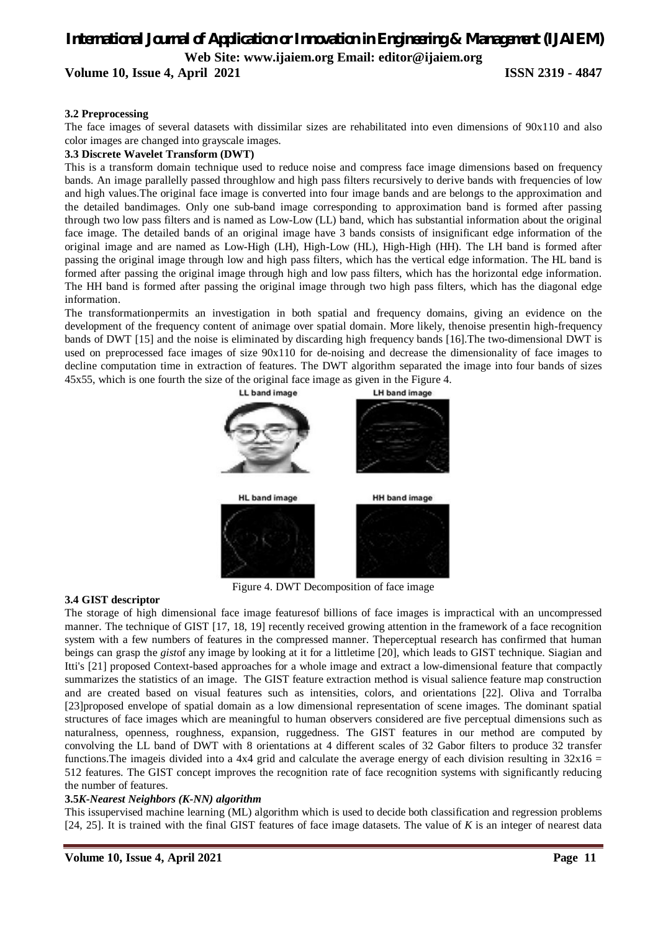**Volume 10, Issue 4, April 2021 ISSN 2319 - 4847**

#### **3.2 Preprocessing**

The face images of several datasets with dissimilar sizes are rehabilitated into even dimensions of 90x110 and also color images are changed into grayscale images.

#### **3.3 Discrete Wavelet Transform (DWT)**

This is a transform domain technique used to reduce noise and compress face image dimensions based on frequency bands. An image parallelly passed throughlow and high pass filters recursively to derive bands with frequencies of low and high values.The original face image is converted into four image bands and are belongs to the approximation and the detailed bandimages. Only one sub-band image corresponding to approximation band is formed after passing through two low pass filters and is named as Low-Low (LL) band, which has substantial information about the original face image. The detailed bands of an original image have 3 bands consists of insignificant edge information of the original image and are named as Low-High (LH), High-Low (HL), High-High (HH). The LH band is formed after passing the original image through low and high pass filters, which has the vertical edge information. The HL band is formed after passing the original image through high and low pass filters, which has the horizontal edge information. The HH band is formed after passing the original image through two high pass filters, which has the diagonal edge information.

The transformationpermits an investigation in both spatial and frequency domains, giving an evidence on the development of the frequency content of animage over spatial domain. More likely, thenoise presentin high-frequency bands of DWT [15] and the noise is eliminated by discarding high frequency bands [16].The two-dimensional DWT is used on preprocessed face images of size 90x110 for de-noising and decrease the dimensionality of face images to decline computation time in extraction of features. The DWT algorithm separated the image into four bands of sizes 45x55, which is one fourth the size of the original face image as given in the Figure 4.



Figure 4. DWT Decomposition of face image

#### **3.4 GIST descriptor**

The storage of high dimensional face image featuresof billions of face images is impractical with an uncompressed manner. The technique of GIST [17, 18, 19] recently received growing attention in the framework of a face recognition system with a few numbers of features in the compressed manner. Theperceptual research has confirmed that human beings can grasp the *gist*of any image by looking at it for a littletime [20], which leads to GIST technique. Siagian and Itti's [21] proposed Context-based approaches for a whole image and extract a low-dimensional feature that compactly summarizes the statistics of an image. The GIST feature extraction method is visual salience feature map construction and are created based on visual features such as intensities, colors, and orientations [22]. Oliva and Torralba [23]proposed envelope of spatial domain as a low dimensional representation of scene images. The dominant spatial structures of face images which are meaningful to human observers considered are five perceptual dimensions such as naturalness, openness, roughness, expansion, ruggedness. The GIST features in our method are computed by convolving the LL band of DWT with 8 orientations at 4 different scales of 32 Gabor filters to produce 32 transfer functions. The image is divided into a 4x4 grid and calculate the average energy of each division resulting in  $32x16 =$ 512 features. The GIST concept improves the recognition rate of face recognition systems with significantly reducing the number of features.

#### **3.5***K-Nearest Neighbors (K-NN) algorithm*

This issupervised machine learning (ML) algorithm which is used to decide both classification and regression problems [24, 25]. It is trained with the final GIST features of face image datasets. The value of *K* is an integer of nearest data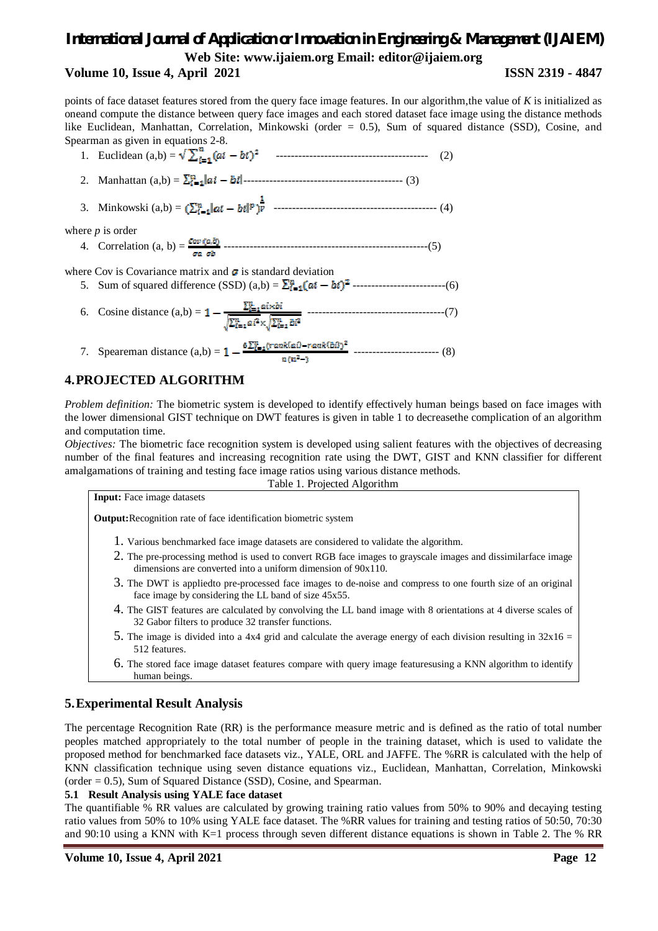**Volume 10, Issue 4, April 2021 ISSN 2319 - 4847**

points of face dataset features stored from the query face image features. In our algorithm,the value of *K* is initialized as oneand compute the distance between query face images and each stored dataset face image using the distance methods like Euclidean, Manhattan, Correlation, Minkowski (order = 0.5), Sum of squared distance (SSD), Cosine, and Spearman as given in equations 2-8.

- 1. Euclidean (a,b) = ----------------------------------------- (2)
- 2. Manhattan (a,b) = ------------------------------------------- (3)
- 3. Minkowski (a,b) = -------------------------------------------- (4)

where *p* is order

4. Correlation (a, b) = -------------------------------------------------------(5)

where Cov is Covariance matrix and  $\boldsymbol{\sigma}$  is standard deviation 5. Sum of squared difference (SSD) (a,b) = -------------------------(6)

- 6. Cosine distance (a,b) = -------------------------------------(7)
- 7. Speareman distance (a,b) = ----------------------- (8)

#### **4.PROJECTED ALGORITHM**

*Problem definition:* The biometric system is developed to identify effectively human beings based on face images with the lower dimensional GIST technique on DWT features is given in table 1 to decreasethe complication of an algorithm and computation time.

*Objectives:* The biometric face recognition system is developed using salient features with the objectives of decreasing number of the final features and increasing recognition rate using the DWT, GIST and KNN classifier for different amalgamations of training and testing face image ratios using various distance methods.

Table 1. Projected Algorithm

**Input:** Face image datasets

**Output:**Recognition rate of face identification biometric system

- 1. Various benchmarked face image datasets are considered to validate the algorithm.
- 2. The pre-processing method is used to convert RGB face images to grayscale images and dissimilarface image dimensions are converted into a uniform dimension of 90x110.
- 3. The DWT is appliedto pre-processed face images to de-noise and compress to one fourth size of an original face image by considering the LL band of size 45x55.
- 4. The GIST features are calculated by convolving the LL band image with 8 orientations at 4 diverse scales of 32 Gabor filters to produce 32 transfer functions.
- 5. The image is divided into a 4x4 grid and calculate the average energy of each division resulting in  $32x16 =$ 512 features.
- 6. The stored face image dataset features compare with query image featuresusing a KNN algorithm to identify human beings.

#### **5.Experimental Result Analysis**

The percentage Recognition Rate (RR) is the performance measure metric and is defined as the ratio of total number peoples matched appropriately to the total number of people in the training dataset, which is used to validate the proposed method for benchmarked face datasets viz., YALE, ORL and JAFFE. The %RR is calculated with the help of KNN classification technique using seven distance equations viz., Euclidean, Manhattan, Correlation, Minkowski  $(order = 0.5)$ , Sum of Squared Distance (SSD), Cosine, and Spearman.

#### **5.1 Result Analysis using YALE face dataset**

The quantifiable % RR values are calculated by growing training ratio values from 50% to 90% and decaying testing ratio values from 50% to 10% using YALE face dataset. The %RR values for training and testing ratios of 50:50, 70:30 and 90:10 using a KNN with K=1 process through seven different distance equations is shown in Table 2. The % RR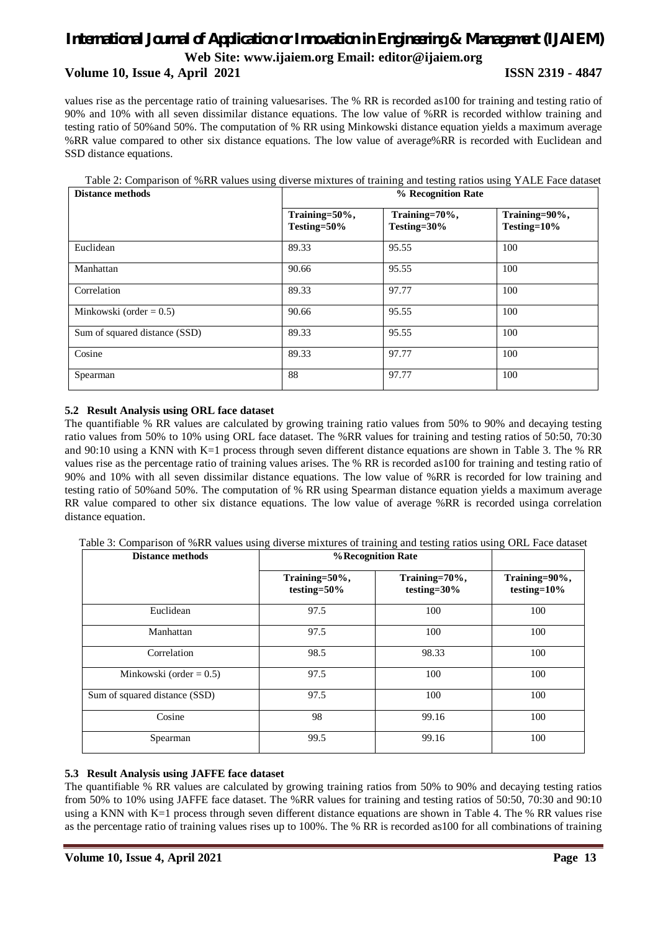#### **Volume 10, Issue 4, April 2021 ISSN 2319 - 4847**

values rise as the percentage ratio of training valuesarises. The % RR is recorded as100 for training and testing ratio of 90% and 10% with all seven dissimilar distance equations. The low value of %RR is recorded withlow training and testing ratio of 50%and 50%. The computation of % RR using Minkowski distance equation yields a maximum average %RR value compared to other six distance equations. The low value of average%RR is recorded with Euclidean and SSD distance equations.

| <b>Distance methods</b>       | % Recognition Rate           |                              |                              |  |
|-------------------------------|------------------------------|------------------------------|------------------------------|--|
|                               | Training=50%,<br>Testing=50% | Training=70%,<br>Testing=30% | Training=90%,<br>Testing=10% |  |
| Euclidean                     | 89.33                        | 95.55                        | 100                          |  |
| Manhattan                     | 90.66                        | 95.55                        | 100                          |  |
| Correlation                   | 89.33                        | 97.77                        | 100                          |  |
| Minkowski (order = $0.5$ )    | 90.66                        | 95.55                        | 100                          |  |
| Sum of squared distance (SSD) | 89.33                        | 95.55                        | 100                          |  |
| Cosine                        | 89.33                        | 97.77                        | 100                          |  |
| Spearman                      | 88                           | 97.77                        | 100                          |  |

Table 2: Comparison of %RR values using diverse mixtures of training and testing ratios using YALE Face dataset

#### **5.2 Result Analysis using ORL face dataset**

The quantifiable % RR values are calculated by growing training ratio values from 50% to 90% and decaying testing ratio values from 50% to 10% using ORL face dataset. The %RR values for training and testing ratios of 50:50, 70:30 and 90:10 using a KNN with K=1 process through seven different distance equations are shown in Table 3. The % RR values rise as the percentage ratio of training values arises. The % RR is recorded as100 for training and testing ratio of 90% and 10% with all seven dissimilar distance equations. The low value of %RR is recorded for low training and testing ratio of 50%and 50%. The computation of % RR using Spearman distance equation yields a maximum average RR value compared to other six distance equations. The low value of average %RR is recorded usinga correlation distance equation.

Table 3: Comparison of %RR values using diverse mixtures of training and testing ratios using ORL Face dataset

| <b>Distance methods</b>       | % Recognition Rate           |                                  |                                  |
|-------------------------------|------------------------------|----------------------------------|----------------------------------|
|                               | Training=50%,<br>testing=50% | Training=70%,<br>testing= $30\%$ | Training=90%,<br>testing= $10\%$ |
| Euclidean                     | 97.5                         | 100                              | 100                              |
| Manhattan                     | 97.5                         | 100                              | 100                              |
| Correlation                   | 98.5                         | 98.33                            | 100                              |
| Minkowski (order = $0.5$ )    | 97.5                         | 100                              | 100                              |
| Sum of squared distance (SSD) | 97.5                         | 100                              | 100                              |
| Cosine                        | 98                           | 99.16                            | 100                              |
| Spearman                      | 99.5                         | 99.16                            | 100                              |

#### **5.3 Result Analysis using JAFFE face dataset**

The quantifiable % RR values are calculated by growing training ratios from 50% to 90% and decaying testing ratios from 50% to 10% using JAFFE face dataset. The %RR values for training and testing ratios of 50:50, 70:30 and 90:10 using a KNN with K=1 process through seven different distance equations are shown in Table 4. The % RR values rise as the percentage ratio of training values rises up to 100%. The % RR is recorded as100 for all combinations of training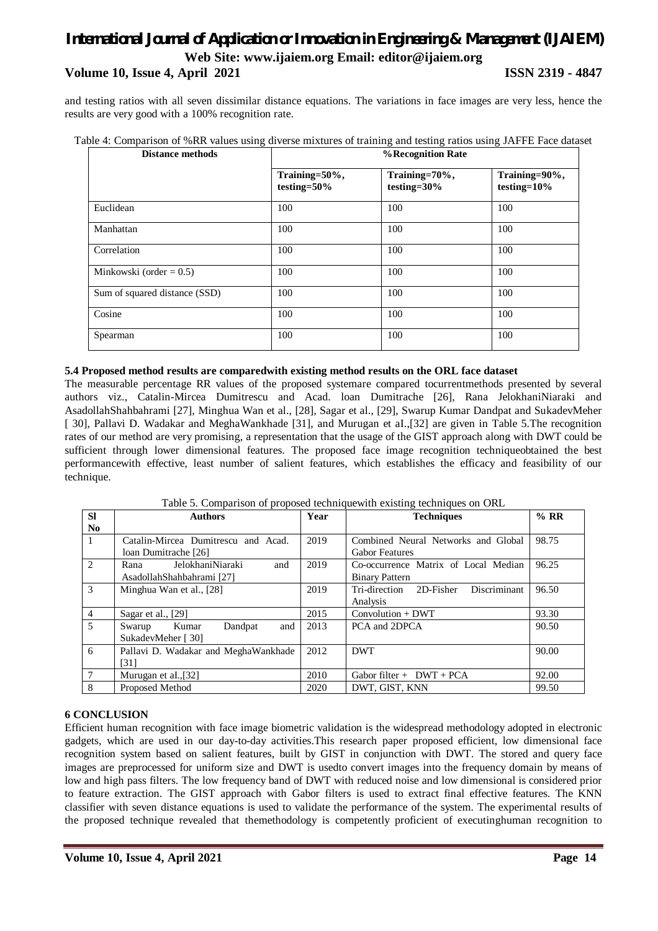### *International Journal of Application or Innovation in Engineering & Management (IJAIEM)* **Web Site: www.ijaiem.org Email: editor@ijaiem.org Volume 10, Issue 4, April 2021 ISSN 2319 - 4847**

and testing ratios with all seven dissimilar distance equations. The variations in face images are very less, hence the results are very good with a 100% recognition rate.

|  |  |  |  |  |  |  | Table 4: Comparison of %RR values using diverse mixtures of training and testing ratios using JAFFE Face dataset |  |
|--|--|--|--|--|--|--|------------------------------------------------------------------------------------------------------------------|--|
|--|--|--|--|--|--|--|------------------------------------------------------------------------------------------------------------------|--|

| <b>Distance methods</b>       |                              | % Recognition Rate           |                              |  |
|-------------------------------|------------------------------|------------------------------|------------------------------|--|
|                               | Training=50%,<br>testing=50% | Training=70%,<br>testing=30% | Training=90%,<br>testing=10% |  |
| Euclidean                     | 100                          | 100                          | 100                          |  |
| Manhattan                     | 100                          | 100                          | 100                          |  |
| Correlation                   | 100                          | 100                          | 100                          |  |
| Minkowski (order $= 0.5$ )    | 100                          | 100                          | 100                          |  |
| Sum of squared distance (SSD) | 100                          | 100                          | 100                          |  |
| Cosine                        | 100                          | 100                          | 100                          |  |
| Spearman                      | 100                          | 100                          | 100                          |  |

#### **5.4 Proposed method results are comparedwith existing method results on the ORL face dataset**

The measurable percentage RR values of the proposed systemare compared tocurrentmethods presented by several authors viz., Catalin-Mircea Dumitrescu and Acad. loan Dumitrache [26], Rana JelokhaniNiaraki and AsadollahShahbahrami [27], Minghua Wan et al., [28], Sagar et al., [29], Swarup Kumar Dandpat and SukadevMeher [ 30], Pallavi D. Wadakar and MeghaWankhade [31], and Murugan et aI.,[32] are given in Table 5.The recognition rates of our method are very promising, a representation that the usage of the GIST approach along with DWT could be sufficient through lower dimensional features. The proposed face image recognition techniqueobtained the best performancewith effective, least number of salient features, which establishes the efficacy and feasibility of our technique.

| <b>SI</b>      | <b>Authors</b>                       | Year | <b>Techniques</b>                          | % RR  |
|----------------|--------------------------------------|------|--------------------------------------------|-------|
| N <sub>0</sub> |                                      |      |                                            |       |
| $\overline{1}$ | Catalin-Mircea Dumitrescu and Acad.  | 2019 | Combined Neural Networks and Global        | 98.75 |
|                | loan Dumitrache [26]                 |      | <b>Gabor Features</b>                      |       |
| $\overline{2}$ | JelokhaniNiaraki<br>and<br>Rana      | 2019 | Co-occurrence Matrix of Local Median       | 96.25 |
|                | AsadollahShahbahrami [27]            |      | <b>Binary Pattern</b>                      |       |
| 3              | Minghua Wan et al., [28]             | 2019 | Discriminant<br>Tri-direction<br>2D-Fisher | 96.50 |
|                |                                      |      | Analysis                                   |       |
| $\overline{4}$ | Sagar et al., [29]                   | 2015 | $Convolution + DWT$                        | 93.30 |
| 5              | Kumar<br>Dandpat<br>and<br>Swarup    | 2013 | PCA and 2DPCA                              | 90.50 |
|                | SukadevMeher [30]                    |      |                                            |       |
| 6              | Pallavi D. Wadakar and MeghaWankhade | 2012 | <b>DWT</b>                                 | 90.00 |
|                | [31]                                 |      |                                            |       |
| $\overline{7}$ | Murugan et al., [32]                 | 2010 | Gabor filter + $DWT + PCA$                 | 92.00 |
| 8              | Proposed Method                      | 2020 | DWT. GIST. KNN                             | 99.50 |

Table 5. Comparison of proposed techniquewith existing techniques on ORL

#### **6 CONCLUSION**

Efficient human recognition with face image biometric validation is the widespread methodology adopted in electronic gadgets, which are used in our day-to-day activities.This research paper proposed efficient, low dimensional face recognition system based on salient features, built by GIST in conjunction with DWT. The stored and query face images are preprocessed for uniform size and DWT is usedto convert images into the frequency domain by means of low and high pass filters. The low frequency band of DWT with reduced noise and low dimensional is considered prior to feature extraction. The GIST approach with Gabor filters is used to extract final effective features. The KNN classifier with seven distance equations is used to validate the performance of the system. The experimental results of the proposed technique revealed that themethodology is competently proficient of executinghuman recognition to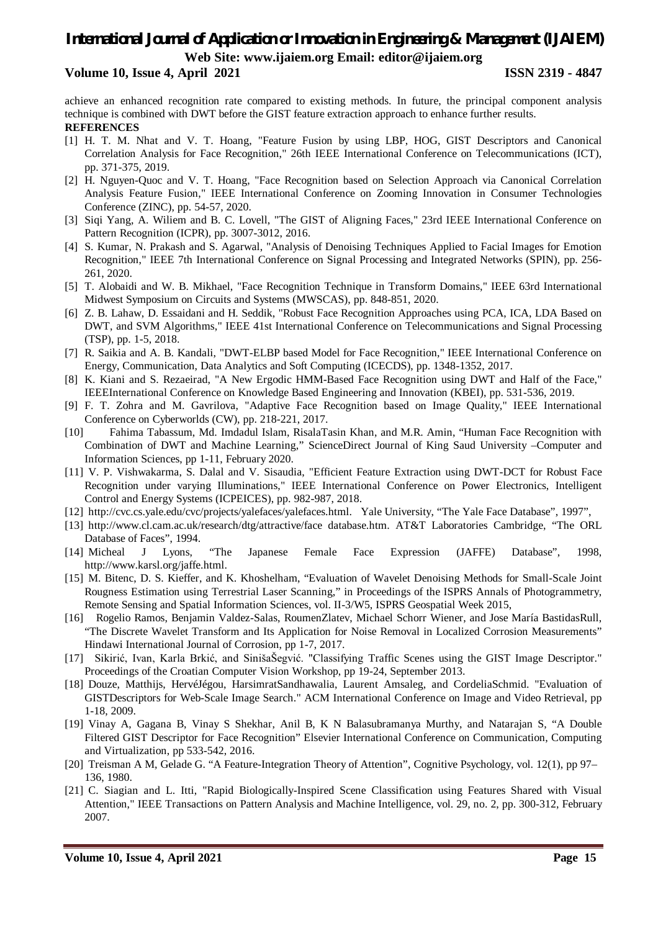#### **Volume 10, Issue 4, April 2021 ISSN 2319 - 4847**

achieve an enhanced recognition rate compared to existing methods. In future, the principal component analysis technique is combined with DWT before the GIST feature extraction approach to enhance further results. **REFERENCES**

- [1] H. T. M. Nhat and V. T. Hoang, "Feature Fusion by using LBP, HOG, GIST Descriptors and Canonical Correlation Analysis for Face Recognition," 26th IEEE International Conference on Telecommunications (ICT), pp. 371-375, 2019.
- [2] H. Nguyen-Quoc and V. T. Hoang, "Face Recognition based on Selection Approach via Canonical Correlation Analysis Feature Fusion," IEEE International Conference on Zooming Innovation in Consumer Technologies Conference (ZINC), pp. 54-57, 2020.
- [3] Siqi Yang, A. Wiliem and B. C. Lovell, "The GIST of Aligning Faces," 23rd IEEE International Conference on Pattern Recognition (ICPR), pp. 3007-3012, 2016.
- [4] S. Kumar, N. Prakash and S. Agarwal, "Analysis of Denoising Techniques Applied to Facial Images for Emotion Recognition," IEEE 7th International Conference on Signal Processing and Integrated Networks (SPIN), pp. 256- 261, 2020.
- [5] T. Alobaidi and W. B. Mikhael, "Face Recognition Technique in Transform Domains," IEEE 63rd International Midwest Symposium on Circuits and Systems (MWSCAS), pp. 848-851, 2020.
- [6] Z. B. Lahaw, D. Essaidani and H. Seddik, "Robust Face Recognition Approaches using PCA, ICA, LDA Based on DWT, and SVM Algorithms," IEEE 41st International Conference on Telecommunications and Signal Processing (TSP), pp. 1-5, 2018.
- [7] R. Saikia and A. B. Kandali, "DWT-ELBP based Model for Face Recognition," IEEE International Conference on Energy, Communication, Data Analytics and Soft Computing (ICECDS), pp. 1348-1352, 2017.
- [8] K. Kiani and S. Rezaeirad, "A New Ergodic HMM-Based Face Recognition using DWT and Half of the Face," IEEEInternational Conference on Knowledge Based Engineering and Innovation (KBEI), pp. 531-536, 2019.
- [9] F. T. Zohra and M. Gavrilova, "Adaptive Face Recognition based on Image Quality," IEEE International Conference on Cyberworlds (CW), pp. 218-221, 2017.
- [10] Fahima Tabassum, Md. Imdadul Islam, RisalaTasin Khan, and M.R. Amin, "Human Face Recognition with Combination of DWT and Machine Learning," ScienceDirect Journal of King Saud University –Computer and Information Sciences, pp 1-11, February 2020.
- [11] V. P. Vishwakarma, S. Dalal and V. Sisaudia, "Efficient Feature Extraction using DWT-DCT for Robust Face Recognition under varying Illuminations," IEEE International Conference on Power Electronics, Intelligent Control and Energy Systems (ICPEICES), pp. 982-987, 2018.
- [12] http://cvc.cs.yale.edu/cvc/projects/yalefaces/yalefaces.html. Yale University, "The Yale Face Database", 1997",
- [13] http://www.cl.cam.ac.uk/research/dtg/attractive/face database.htm. AT&T Laboratories Cambridge, "The ORL Database of Faces", 1994.
- [14] Micheal J Lyons, "The Japanese Female Face Expression (JAFFE) Database", 1998, http://www.karsl.org/jaffe.html.
- [15] M. Bitenc, D. S. Kieffer, and K. Khoshelham, "Evaluation of Wavelet Denoising Methods for Small-Scale Joint Rougness Estimation using Terrestrial Laser Scanning," in Proceedings of the ISPRS Annals of Photogrammetry, Remote Sensing and Spatial Information Sciences, vol. II-3/W5, ISPRS Geospatial Week 2015,
- [16] Rogelio Ramos, Benjamin Valdez-Salas, RoumenZlatev, Michael Schorr Wiener, and Jose María BastidasRull, "The Discrete Wavelet Transform and Its Application for Noise Removal in Localized Corrosion Measurements" Hindawi International Journal of Corrosion, pp 1-7, 2017.
- [17] Sikirić, Ivan, Karla Brkić, and SinišaŠegvić. "Classifying Traffic Scenes using the GIST Image Descriptor." Proceedings of the Croatian Computer Vision Workshop, pp 19-24, September 2013.
- [18] Douze, Matthijs, HervéJégou, HarsimratSandhawalia, Laurent Amsaleg, and CordeliaSchmid. "Evaluation of GISTDescriptors for Web-Scale Image Search." ACM International Conference on Image and Video Retrieval, pp 1-18, 2009.
- [19] Vinay A, Gagana B, Vinay S Shekhar, Anil B, K N Balasubramanya Murthy, and Natarajan S, "A Double Filtered GIST Descriptor for Face Recognition" Elsevier International Conference on Communication, Computing and Virtualization, pp 533-542, 2016.
- [20] Treisman A M, Gelade G. "A Feature-Integration Theory of Attention", Cognitive Psychology, vol. 12(1), pp 97– 136, 1980.
- [21] C. Siagian and L. Itti, "Rapid Biologically-Inspired Scene Classification using Features Shared with Visual Attention," IEEE Transactions on Pattern Analysis and Machine Intelligence, vol. 29, no. 2, pp. 300-312, February 2007.